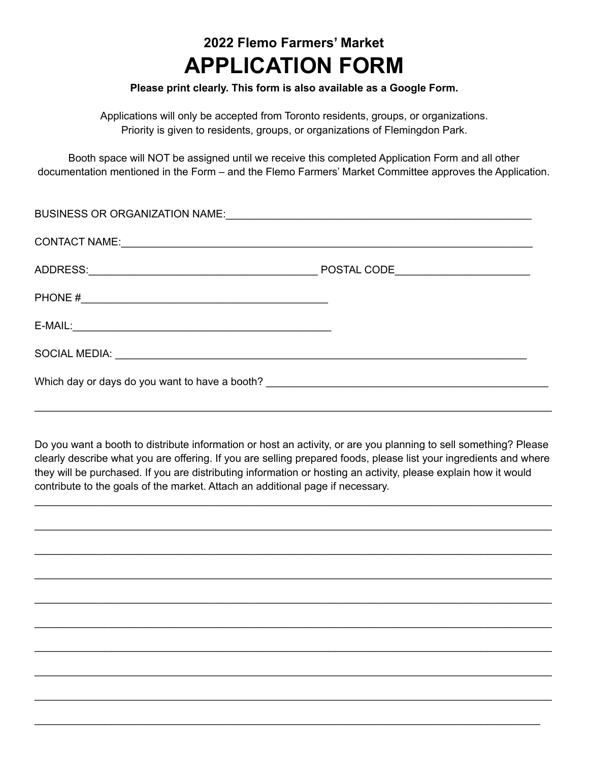## **2022 Flemo Farmers' Market APPLICATION FORM**

## **Please print clearly. This form is also available as a Google Form.**

Applications will only be accepted from Toronto residents, groups, or organizations. Priority is given to residents, groups, or organizations of Flemingdon Park.

Booth space will NOT be assigned until we receive this completed Application Form and all other documentation mentioned in the Form – and the Flemo Farmers' Market Committee approves the Application.

| BUSINESS OR ORGANIZATION NAME: |  |
|--------------------------------|--|
|                                |  |
|                                |  |
|                                |  |
| $E-MAIL:$                      |  |
|                                |  |
|                                |  |

Do you want a booth to distribute information or host an activity, or are you planning to sell something? Please clearly describe what you are offering. If you are selling prepared foods, please list your ingredients and where they will be purchased. If you are distributing information or hosting an activity, please explain how it would contribute to the goals of the market. Attach an additional page if necessary.

\_\_\_\_\_\_\_\_\_\_\_\_\_\_\_\_\_\_\_\_\_\_\_\_\_\_\_\_\_\_\_\_\_\_\_\_\_\_\_\_\_\_\_\_\_\_\_\_\_\_\_\_\_\_\_\_\_\_\_\_\_\_\_\_\_\_\_\_\_\_\_\_\_\_\_\_\_\_\_\_\_\_\_\_\_\_\_\_

\_\_\_\_\_\_\_\_\_\_\_\_\_\_\_\_\_\_\_\_\_\_\_\_\_\_\_\_\_\_\_\_\_\_\_\_\_\_\_\_\_\_\_\_\_\_\_\_\_\_\_\_\_\_\_\_\_\_\_\_\_\_\_\_\_\_\_\_\_\_\_\_\_\_\_\_\_\_\_\_\_\_\_\_\_\_\_\_

\_\_\_\_\_\_\_\_\_\_\_\_\_\_\_\_\_\_\_\_\_\_\_\_\_\_\_\_\_\_\_\_\_\_\_\_\_\_\_\_\_\_\_\_\_\_\_\_\_\_\_\_\_\_\_\_\_\_\_\_\_\_\_\_\_\_\_\_\_\_\_\_\_\_\_\_\_\_\_\_\_\_\_\_\_\_\_\_

\_\_\_\_\_\_\_\_\_\_\_\_\_\_\_\_\_\_\_\_\_\_\_\_\_\_\_\_\_\_\_\_\_\_\_\_\_\_\_\_\_\_\_\_\_\_\_\_\_\_\_\_\_\_\_\_\_\_\_\_\_\_\_\_\_\_\_\_\_\_\_\_\_\_\_\_\_\_\_\_\_\_\_\_\_\_\_\_

\_\_\_\_\_\_\_\_\_\_\_\_\_\_\_\_\_\_\_\_\_\_\_\_\_\_\_\_\_\_\_\_\_\_\_\_\_\_\_\_\_\_\_\_\_\_\_\_\_\_\_\_\_\_\_\_\_\_\_\_\_\_\_\_\_\_\_\_\_\_\_\_\_\_\_\_\_\_\_\_\_\_\_\_\_\_\_\_

\_\_\_\_\_\_\_\_\_\_\_\_\_\_\_\_\_\_\_\_\_\_\_\_\_\_\_\_\_\_\_\_\_\_\_\_\_\_\_\_\_\_\_\_\_\_\_\_\_\_\_\_\_\_\_\_\_\_\_\_\_\_\_\_\_\_\_\_\_\_\_\_\_\_\_\_\_\_\_\_\_\_\_\_\_\_\_\_

\_\_\_\_\_\_\_\_\_\_\_\_\_\_\_\_\_\_\_\_\_\_\_\_\_\_\_\_\_\_\_\_\_\_\_\_\_\_\_\_\_\_\_\_\_\_\_\_\_\_\_\_\_\_\_\_\_\_\_\_\_\_\_\_\_\_\_\_\_\_\_\_\_\_\_\_\_\_\_\_\_\_\_\_\_\_\_\_

\_\_\_\_\_\_\_\_\_\_\_\_\_\_\_\_\_\_\_\_\_\_\_\_\_\_\_\_\_\_\_\_\_\_\_\_\_\_\_\_\_\_\_\_\_\_\_\_\_\_\_\_\_\_\_\_\_\_\_\_\_\_\_\_\_\_\_\_\_\_\_\_\_\_\_\_\_\_\_\_\_\_\_\_\_\_\_\_

\_\_\_\_\_\_\_\_\_\_\_\_\_\_\_\_\_\_\_\_\_\_\_\_\_\_\_\_\_\_\_\_\_\_\_\_\_\_\_\_\_\_\_\_\_\_\_\_\_\_\_\_\_\_\_\_\_\_\_\_\_\_\_\_\_\_\_\_\_\_\_\_\_\_\_\_\_\_\_\_\_\_\_\_\_\_\_\_

 $\_$  ,  $\_$  ,  $\_$  ,  $\_$  ,  $\_$  ,  $\_$  ,  $\_$  ,  $\_$  ,  $\_$  ,  $\_$  ,  $\_$  ,  $\_$  ,  $\_$  ,  $\_$  ,  $\_$  ,  $\_$  ,  $\_$  ,  $\_$  ,  $\_$  ,  $\_$  ,  $\_$  ,  $\_$  ,  $\_$  ,  $\_$  ,  $\_$  ,  $\_$  ,  $\_$  ,  $\_$  ,  $\_$  ,  $\_$  ,  $\_$  ,  $\_$  ,  $\_$  ,  $\_$  ,  $\_$  ,  $\_$  ,  $\_$  ,

\_\_\_\_\_\_\_\_\_\_\_\_\_\_\_\_\_\_\_\_\_\_\_\_\_\_\_\_\_\_\_\_\_\_\_\_\_\_\_\_\_\_\_\_\_\_\_\_\_\_\_\_\_\_\_\_\_\_\_\_\_\_\_\_\_\_\_\_\_\_\_\_\_\_\_\_\_\_\_\_\_\_\_\_\_\_\_\_